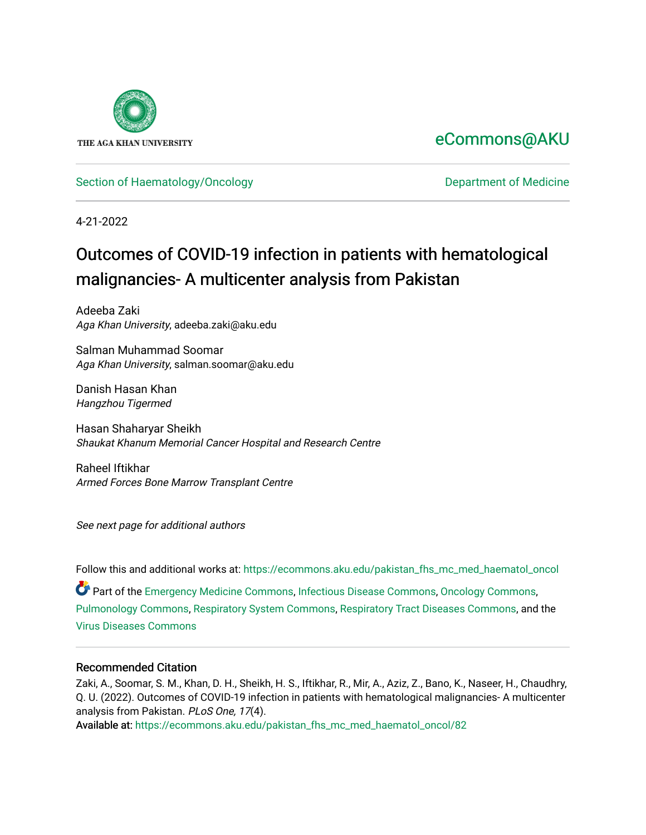

# [eCommons@AKU](https://ecommons.aku.edu/)

# [Section of Haematology/Oncology](https://ecommons.aku.edu/pakistan_fhs_mc_med_haematol_oncol) **Department of Medicine**

4-21-2022

# Outcomes of COVID-19 infection in patients with hematological malignancies- A multicenter analysis from Pakistan

Adeeba Zaki Aga Khan University, adeeba.zaki@aku.edu

Salman Muhammad Soomar Aga Khan University, salman.soomar@aku.edu

Danish Hasan Khan Hangzhou Tigermed

Hasan Shaharyar Sheikh Shaukat Khanum Memorial Cancer Hospital and Research Centre

Raheel Iftikhar Armed Forces Bone Marrow Transplant Centre

See next page for additional authors

Follow this and additional works at: [https://ecommons.aku.edu/pakistan\\_fhs\\_mc\\_med\\_haematol\\_oncol](https://ecommons.aku.edu/pakistan_fhs_mc_med_haematol_oncol?utm_source=ecommons.aku.edu%2Fpakistan_fhs_mc_med_haematol_oncol%2F82&utm_medium=PDF&utm_campaign=PDFCoverPages) 

Part of the [Emergency Medicine Commons](https://network.bepress.com/hgg/discipline/685?utm_source=ecommons.aku.edu%2Fpakistan_fhs_mc_med_haematol_oncol%2F82&utm_medium=PDF&utm_campaign=PDFCoverPages), [Infectious Disease Commons](https://network.bepress.com/hgg/discipline/689?utm_source=ecommons.aku.edu%2Fpakistan_fhs_mc_med_haematol_oncol%2F82&utm_medium=PDF&utm_campaign=PDFCoverPages), [Oncology Commons](https://network.bepress.com/hgg/discipline/694?utm_source=ecommons.aku.edu%2Fpakistan_fhs_mc_med_haematol_oncol%2F82&utm_medium=PDF&utm_campaign=PDFCoverPages), [Pulmonology Commons](https://network.bepress.com/hgg/discipline/1363?utm_source=ecommons.aku.edu%2Fpakistan_fhs_mc_med_haematol_oncol%2F82&utm_medium=PDF&utm_campaign=PDFCoverPages), [Respiratory System Commons](https://network.bepress.com/hgg/discipline/919?utm_source=ecommons.aku.edu%2Fpakistan_fhs_mc_med_haematol_oncol%2F82&utm_medium=PDF&utm_campaign=PDFCoverPages), [Respiratory Tract Diseases Commons,](https://network.bepress.com/hgg/discipline/990?utm_source=ecommons.aku.edu%2Fpakistan_fhs_mc_med_haematol_oncol%2F82&utm_medium=PDF&utm_campaign=PDFCoverPages) and the [Virus Diseases Commons](https://network.bepress.com/hgg/discipline/998?utm_source=ecommons.aku.edu%2Fpakistan_fhs_mc_med_haematol_oncol%2F82&utm_medium=PDF&utm_campaign=PDFCoverPages)

### Recommended Citation

Zaki, A., Soomar, S. M., Khan, D. H., Sheikh, H. S., Iftikhar, R., Mir, A., Aziz, Z., Bano, K., Naseer, H., Chaudhry, Q. U. (2022). Outcomes of COVID-19 infection in patients with hematological malignancies- A multicenter analysis from Pakistan. PLoS One, 17(4).

Available at: [https://ecommons.aku.edu/pakistan\\_fhs\\_mc\\_med\\_haematol\\_oncol/82](https://ecommons.aku.edu/pakistan_fhs_mc_med_haematol_oncol/82)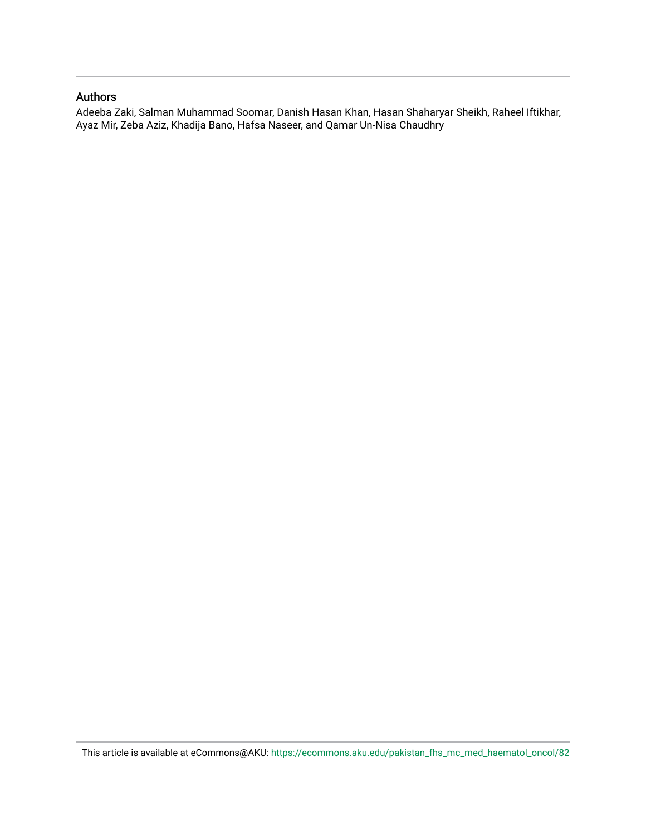### Authors

Adeeba Zaki, Salman Muhammad Soomar, Danish Hasan Khan, Hasan Shaharyar Sheikh, Raheel Iftikhar, Ayaz Mir, Zeba Aziz, Khadija Bano, Hafsa Naseer, and Qamar Un-Nisa Chaudhry

This article is available at eCommons@AKU: [https://ecommons.aku.edu/pakistan\\_fhs\\_mc\\_med\\_haematol\\_oncol/82](https://ecommons.aku.edu/pakistan_fhs_mc_med_haematol_oncol/82)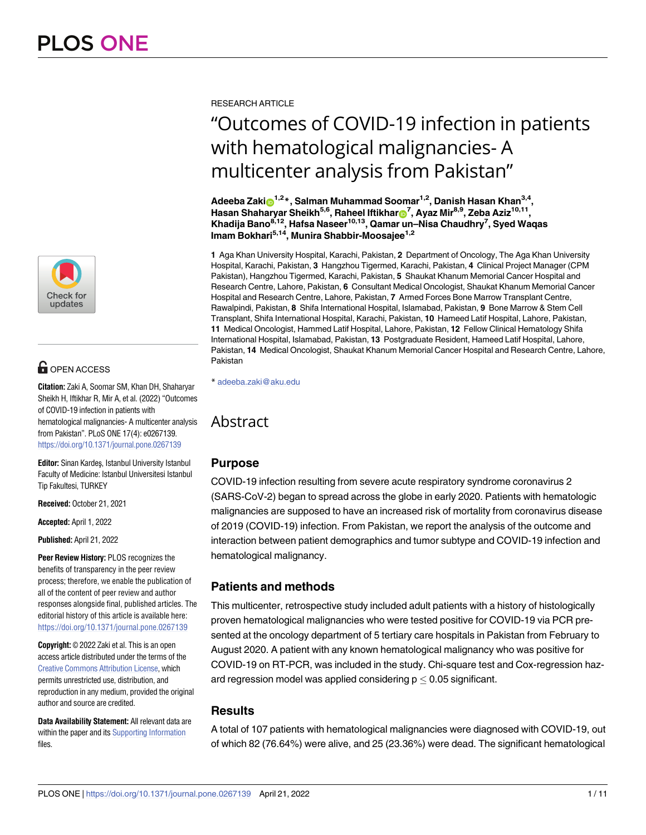

# **G** OPEN ACCESS

**Citation:** Zaki A, Soomar SM, Khan DH, Shaharyar Sheikh H, Iftikhar R, Mir A, et al. (2022)"Outcomes of COVID-19 infection in patients with hematological malignancies- A multicenter analysis from Pakistan". PLoS ONE 17(4): e0267139. <https://doi.org/10.1371/journal.pone.0267139>

**Editor:** Sinan Kardeş, Istanbul University Istanbul Faculty of Medicine: Istanbul Universitesi Istanbul Tip Fakultesi, TURKEY

**Received:** October 21, 2021

**Accepted:** April 1, 2022

**Published:** April 21, 2022

**Peer Review History:** PLOS recognizes the benefits of transparency in the peer review process; therefore, we enable the publication of all of the content of peer review and author responses alongside final, published articles. The editorial history of this article is available here: <https://doi.org/10.1371/journal.pone.0267139>

**Copyright:** © 2022 Zaki et al. This is an open access article distributed under the terms of the Creative Commons [Attribution](http://creativecommons.org/licenses/by/4.0/) License, which permits unrestricted use, distribution, and reproduction in any medium, provided the original author and source are credited.

**Data Availability Statement:** All relevant data are within the paper and its Supporting [Information](#page-11-0) files.

RESEARCH ARTICLE

# "Outcomes of COVID-19 infection in patients with hematological malignancies- A multicenter analysis from Pakistan"

**Adeeba Zaki**<sup>3,2</sup><sup>\*</sup>, Salman Muhammad Soomar<sup>1,2</sup>, Danish Hasan Khan<sup>3,4</sup>, **Hasan Shaharyar Sheikh5,6, Raheel Iftikhar[ID7](https://orcid.org/0000-0001-8767-3491) , Ayaz Mir8,9, Zeba Aziz10,11, Khadija Bano8,12, Hafsa Naseer10,13, Qamar un–Nisa Chaudhry7 , Syed Waqas Imam Bokhari5,14, Munira Shabbir-Moosajee1,2**

**1** Aga Khan University Hospital, Karachi, Pakistan, **2** Department of Oncology, The Aga Khan University Hospital, Karachi, Pakistan, **3** Hangzhou Tigermed, Karachi, Pakistan, **4** Clinical Project Manager (CPM Pakistan), Hangzhou Tigermed, Karachi, Pakistan, **5** Shaukat Khanum Memorial Cancer Hospital and Research Centre, Lahore, Pakistan, **6** Consultant Medical Oncologist, Shaukat Khanum Memorial Cancer Hospital and Research Centre, Lahore, Pakistan, **7** Armed Forces Bone Marrow Transplant Centre, Rawalpindi, Pakistan, **8** Shifa International Hospital, Islamabad, Pakistan, **9** Bone Marrow & Stem Cell Transplant, Shifa International Hospital, Karachi, Pakistan, **10** Hameed Latif Hospital, Lahore, Pakistan, **11** Medical Oncologist, Hammed Latif Hospital, Lahore, Pakistan, **12** Fellow Clinical Hematology Shifa International Hospital, Islamabad, Pakistan, **13** Postgraduate Resident, Hameed Latif Hospital, Lahore, Pakistan, **14** Medical Oncologist, Shaukat Khanum Memorial Cancer Hospital and Research Centre, Lahore, Pakistan

\* adeeba.zaki@aku.edu

# Abstract

# **Purpose**

COVID-19 infection resulting from severe acute respiratory syndrome coronavirus 2 (SARS-CoV-2) began to spread across the globe in early 2020. Patients with hematologic malignancies are supposed to have an increased risk of mortality from coronavirus disease of 2019 (COVID-19) infection. From Pakistan, we report the analysis of the outcome and interaction between patient demographics and tumor subtype and COVID-19 infection and hematological malignancy.

# **Patients and methods**

This multicenter, retrospective study included adult patients with a history of histologically proven hematological malignancies who were tested positive for COVID-19 via PCR presented at the oncology department of 5 tertiary care hospitals in Pakistan from February to August 2020. A patient with any known hematological malignancy who was positive for COVID-19 on RT-PCR, was included in the study. Chi-square test and Cox-regression hazard regression model was applied considering  $p \leq 0.05$  significant.

# **Results**

A total of 107 patients with hematological malignancies were diagnosed with COVID-19, out of which 82 (76.64%) were alive, and 25 (23.36%) were dead. The significant hematological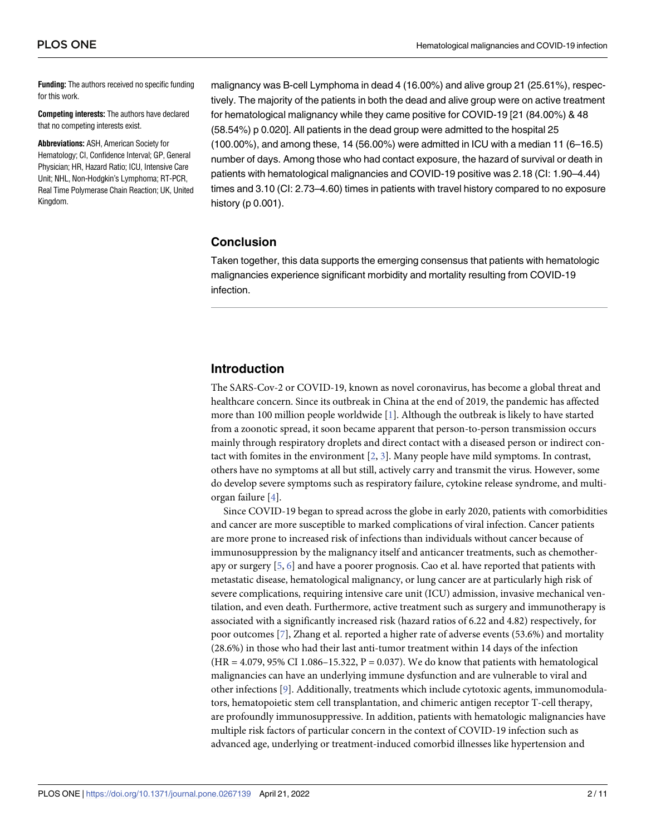<span id="page-3-0"></span>**Funding:** The authors received no specific funding for this work.

**Competing interests:** The authors have declared that no competing interests exist.

**Abbreviations:** ASH, American Society for Hematology; CI, Confidence Interval; GP, General Physician; HR, Hazard Ratio; ICU, Intensive Care Unit; NHL, Non-Hodgkin's Lymphoma; RT-PCR, Real Time Polymerase Chain Reaction; UK, United Kingdom.

malignancy was B-cell Lymphoma in dead 4 (16.00%) and alive group 21 (25.61%), respectively. The majority of the patients in both the dead and alive group were on active treatment for hematological malignancy while they came positive for COVID-19 [21 (84.00%) & 48 (58.54%) p 0.020]. All patients in the dead group were admitted to the hospital 25 (100.00%), and among these, 14 (56.00%) were admitted in ICU with a median 11 (6–16.5) number of days. Among those who had contact exposure, the hazard of survival or death in patients with hematological malignancies and COVID-19 positive was 2.18 (CI: 1.90–4.44) times and 3.10 (CI: 2.73–4.60) times in patients with travel history compared to no exposure history (p 0.001).

#### **Conclusion**

Taken together, this data supports the emerging consensus that patients with hematologic malignancies experience significant morbidity and mortality resulting from COVID-19 infection.

# **Introduction**

The SARS-Cov-2 or COVID-19, known as novel coronavirus, has become a global threat and healthcare concern. Since its outbreak in China at the end of 2019, the pandemic has affected more than 100 million people worldwide [[1\]](#page-11-0). Although the outbreak is likely to have started from a zoonotic spread, it soon became apparent that person-to-person transmission occurs mainly through respiratory droplets and direct contact with a diseased person or indirect contact with fomites in the environment [\[2](#page-11-0), [3](#page-11-0)]. Many people have mild symptoms. In contrast, others have no symptoms at all but still, actively carry and transmit the virus. However, some do develop severe symptoms such as respiratory failure, cytokine release syndrome, and multiorgan failure [[4](#page-11-0)].

Since COVID-19 began to spread across the globe in early 2020, patients with comorbidities and cancer are more susceptible to marked complications of viral infection. Cancer patients are more prone to increased risk of infections than individuals without cancer because of immunosuppression by the malignancy itself and anticancer treatments, such as chemotherapy or surgery [[5](#page-11-0), [6\]](#page-11-0) and have a poorer prognosis. Cao et al. have reported that patients with metastatic disease, hematological malignancy, or lung cancer are at particularly high risk of severe complications, requiring intensive care unit (ICU) admission, invasive mechanical ventilation, and even death. Furthermore, active treatment such as surgery and immunotherapy is associated with a significantly increased risk (hazard ratios of 6.22 and 4.82) respectively, for poor outcomes [\[7](#page-11-0)], Zhang et al. reported a higher rate of adverse events (53.6%) and mortality (28.6%) in those who had their last anti-tumor treatment within 14 days of the infection  $(HR = 4.079, 95\% \text{ CI } 1.086 - 15.322, P = 0.037$ . We do know that patients with hematological malignancies can have an underlying immune dysfunction and are vulnerable to viral and other infections [\[9](#page-12-0)]. Additionally, treatments which include cytotoxic agents, immunomodulators, hematopoietic stem cell transplantation, and chimeric antigen receptor T-cell therapy, are profoundly immunosuppressive. In addition, patients with hematologic malignancies have multiple risk factors of particular concern in the context of COVID-19 infection such as advanced age, underlying or treatment-induced comorbid illnesses like hypertension and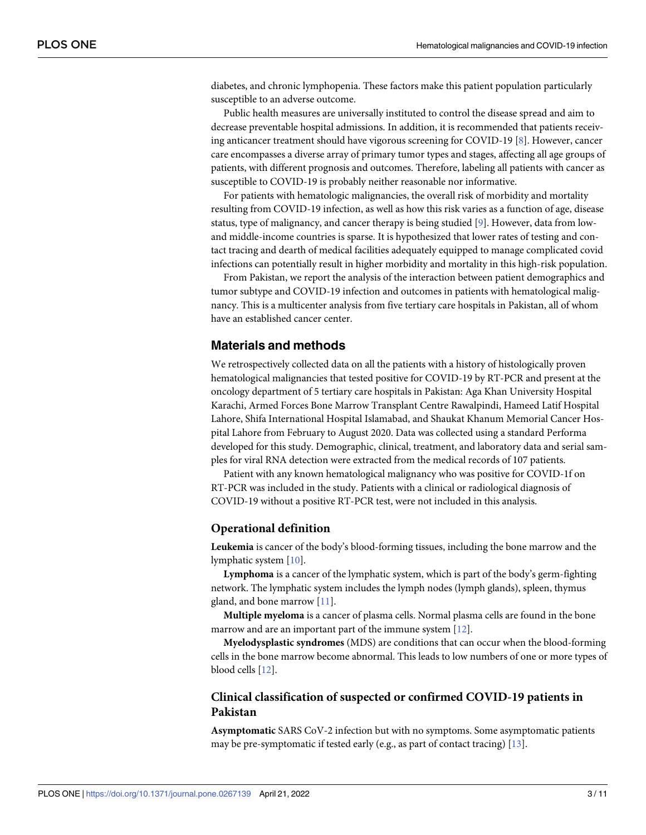<span id="page-4-0"></span>diabetes, and chronic lymphopenia. These factors make this patient population particularly susceptible to an adverse outcome.

Public health measures are universally instituted to control the disease spread and aim to decrease preventable hospital admissions. In addition, it is recommended that patients receiving anticancer treatment should have vigorous screening for COVID-19 [[8](#page-12-0)]. However, cancer care encompasses a diverse array of primary tumor types and stages, affecting all age groups of patients, with different prognosis and outcomes. Therefore, labeling all patients with cancer as susceptible to COVID-19 is probably neither reasonable nor informative.

For patients with hematologic malignancies, the overall risk of morbidity and mortality resulting from COVID-19 infection, as well as how this risk varies as a function of age, disease status, type of malignancy, and cancer therapy is being studied [\[9](#page-12-0)]. However, data from lowand middle-income countries is sparse. It is hypothesized that lower rates of testing and contact tracing and dearth of medical facilities adequately equipped to manage complicated covid infections can potentially result in higher morbidity and mortality in this high-risk population.

From Pakistan, we report the analysis of the interaction between patient demographics and tumor subtype and COVID-19 infection and outcomes in patients with hematological malignancy. This is a multicenter analysis from five tertiary care hospitals in Pakistan, all of whom have an established cancer center.

#### **Materials and methods**

We retrospectively collected data on all the patients with a history of histologically proven hematological malignancies that tested positive for COVID-19 by RT-PCR and present at the oncology department of 5 tertiary care hospitals in Pakistan: Aga Khan University Hospital Karachi, Armed Forces Bone Marrow Transplant Centre Rawalpindi, Hameed Latif Hospital Lahore, Shifa International Hospital Islamabad, and Shaukat Khanum Memorial Cancer Hospital Lahore from February to August 2020. Data was collected using a standard Performa developed for this study. Demographic, clinical, treatment, and laboratory data and serial samples for viral RNA detection were extracted from the medical records of 107 patients.

Patient with any known hematological malignancy who was positive for COVID-1f on RT-PCR was included in the study. Patients with a clinical or radiological diagnosis of COVID-19 without a positive RT-PCR test, were not included in this analysis.

#### **Operational definition**

**Leukemia** is cancer of the body's blood-forming tissues, including the bone marrow and the lymphatic system [[10](#page-12-0)].

**Lymphoma** is a cancer of the lymphatic system, which is part of the body's germ-fighting network. The lymphatic system includes the lymph nodes (lymph glands), spleen, thymus gland, and bone marrow [[11](#page-12-0)].

**Multiple myeloma** is a cancer of plasma cells. Normal plasma cells are found in the bone marrow and are an important part of the immune system [\[12\]](#page-12-0).

**Myelodysplastic syndromes** (MDS) are conditions that can occur when the blood-forming cells in the bone marrow become abnormal. This leads to low numbers of one or more types of blood cells [[12](#page-12-0)].

#### **Clinical classification of suspected or confirmed COVID-19 patients in Pakistan**

**Asymptomatic** SARS CoV-2 infection but with no symptoms. Some asymptomatic patients may be pre-symptomatic if tested early (e.g., as part of contact tracing) [[13](#page-12-0)].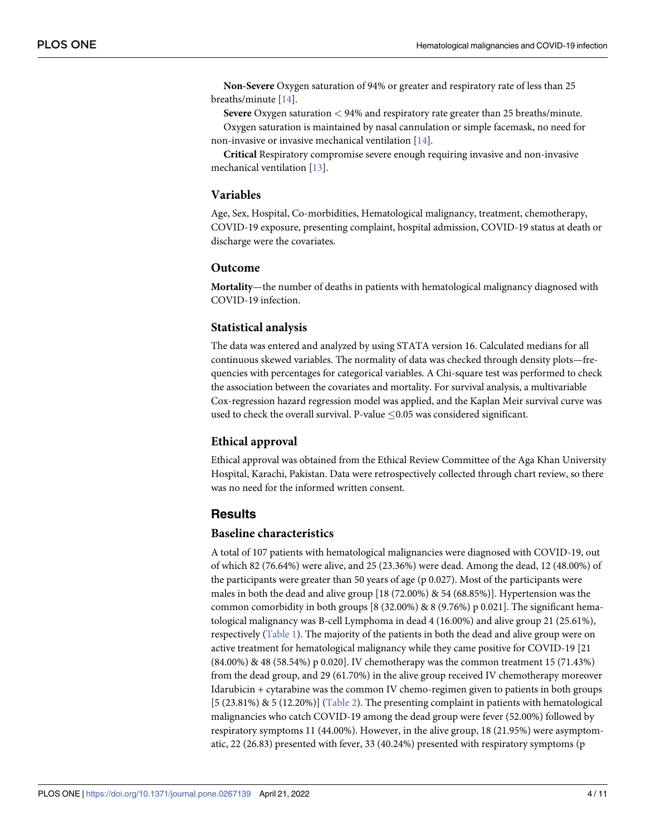<span id="page-5-0"></span>**Non-Severe** Oxygen saturation of 94% or greater and respiratory rate of less than 25 breaths/minute [[14](#page-12-0)].

**Severe** Oxygen saturation *<* 94% and respiratory rate greater than 25 breaths/minute. Oxygen saturation is maintained by nasal cannulation or simple facemask, no need for non-invasive or invasive mechanical ventilation [\[14\]](#page-12-0).

**Critical** Respiratory compromise severe enough requiring invasive and non-invasive mechanical ventilation [\[13\]](#page-12-0).

#### **Variables**

Age, Sex, Hospital, Co-morbidities, Hematological malignancy, treatment, chemotherapy, COVID-19 exposure, presenting complaint, hospital admission, COVID-19 status at death or discharge were the covariates.

#### **Outcome**

**Mortality**—the number of deaths in patients with hematological malignancy diagnosed with COVID-19 infection.

#### **Statistical analysis**

The data was entered and analyzed by using STATA version 16. Calculated medians for all continuous skewed variables. The normality of data was checked through density plots—frequencies with percentages for categorical variables. A Chi-square test was performed to check the association between the covariates and mortality. For survival analysis, a multivariable Cox-regression hazard regression model was applied, and the Kaplan Meir survival curve was used to check the overall survival. P-value  $\leq$ 0.05 was considered significant.

#### **Ethical approval**

Ethical approval was obtained from the Ethical Review Committee of the Aga Khan University Hospital, Karachi, Pakistan. Data were retrospectively collected through chart review, so there was no need for the informed written consent.

#### **Results**

#### **Baseline characteristics**

A total of 107 patients with hematological malignancies were diagnosed with COVID-19, out of which 82 (76.64%) were alive, and 25 (23.36%) were dead. Among the dead, 12 (48.00%) of the participants were greater than 50 years of age (p 0.027). Most of the participants were males in both the dead and alive group [18 (72.00%) & 54 (68.85%)]. Hypertension was the common comorbidity in both groups  $[8 (32.00\%) \& 8 (9.76\%) \text{ p } 0.021]$ . The significant hematological malignancy was B-cell Lymphoma in dead 4 (16.00%) and alive group 21 (25.61%), respectively [\(Table](#page-6-0) 1). The majority of the patients in both the dead and alive group were on active treatment for hematological malignancy while they came positive for COVID-19 [21 (84.00%) & 48 (58.54%) p 0.020]. IV chemotherapy was the common treatment 15 (71.43%) from the dead group, and 29 (61.70%) in the alive group received IV chemotherapy moreover Idarubicin + cytarabine was the common IV chemo-regimen given to patients in both groups  $[5 (23.81%) \& 5 (12.20%)]$  [\(Table](#page-7-0) 2). The presenting complaint in patients with hematological malignancies who catch COVID-19 among the dead group were fever (52.00%) followed by respiratory symptoms 11 (44.00%). However, in the alive group, 18 (21.95%) were asymptomatic, 22 (26.83) presented with fever, 33 (40.24%) presented with respiratory symptoms (p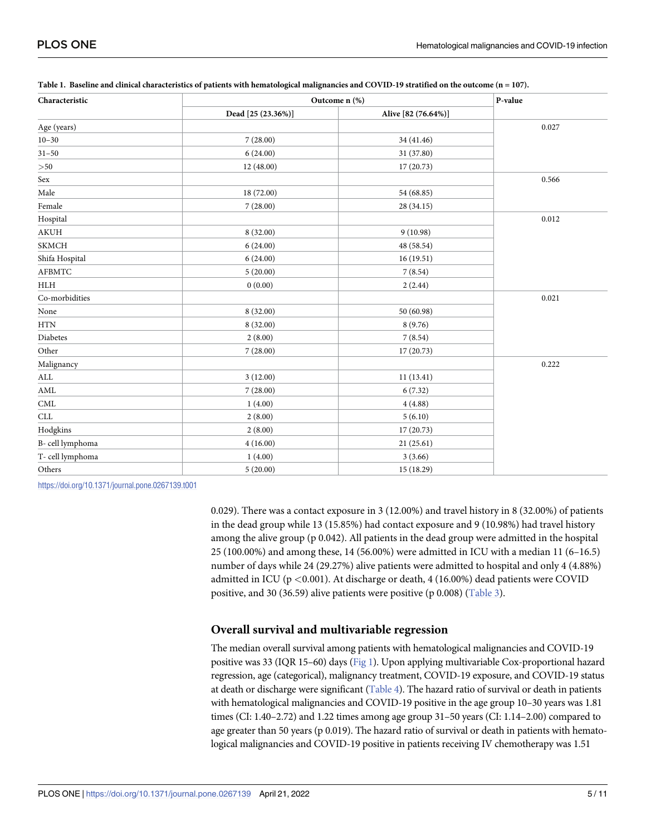| Characteristic       | Outcome n (%)      | P-value             |       |
|----------------------|--------------------|---------------------|-------|
|                      | Dead [25 (23.36%)] | Alive [82 (76.64%)] |       |
| Age (years)          |                    |                     | 0.027 |
| $10 - 30$            | 7(28.00)           | 34 (41.46)          |       |
| $31 - 50$            | 6(24.00)           | 31 (37.80)          |       |
| ${>}50$              | 12 (48.00)         | 17 (20.73)          |       |
| Sex                  |                    |                     | 0.566 |
| Male                 | 18 (72.00)         | 54 (68.85)          |       |
| Female               | 7(28.00)           | 28 (34.15)          |       |
| Hospital             |                    |                     | 0.012 |
| <b>AKUH</b>          | 8(32.00)           | 9(10.98)            |       |
| <b>SKMCH</b>         | 6(24.00)           | 48 (58.54)          |       |
| Shifa Hospital       | 6(24.00)           | 16(19.51)           |       |
| <b>AFBMTC</b>        | 5(20.00)           | 7(8.54)             |       |
| HLH                  | 0(0.00)            | 2(2.44)             |       |
| Co-morbidities       |                    |                     | 0.021 |
| None                 | 8 (32.00)          | 50 (60.98)          |       |
| <b>HTN</b>           | 8 (32.00)          | 8(9.76)             |       |
| Diabetes             | 2(8.00)            | 7(8.54)             |       |
| Other                | 7(28.00)           | 17(20.73)           |       |
| Malignancy           |                    |                     | 0.222 |
| $\mbox{ALL}$         | 3(12.00)           | 11(13.41)           |       |
| $\operatorname{AML}$ | 7(28.00)           | 6(7.32)             |       |
| $\mathop{\rm CML}$   | 1(4.00)            | 4(4.88)             |       |
| CLL                  | 2(8.00)            | 5(6.10)             |       |
| Hodgkins             | 2(8.00)            | 17 (20.73)          |       |
| B-cell lymphoma      | 4(16.00)           | 21(25.61)           |       |
| T-cell lymphoma      | 1(4.00)            | 3(3.66)             |       |
| Others               | 5(20.00)           | 15 (18.29)          |       |

<span id="page-6-0"></span>

| Table 1. Baseline and clinical characteristics of patients with hematological malignancies and COVID-19 stratified on the outcome (n = 107). |
|----------------------------------------------------------------------------------------------------------------------------------------------|
|                                                                                                                                              |

<https://doi.org/10.1371/journal.pone.0267139.t001>

0.029). There was a contact exposure in 3 (12.00%) and travel history in 8 (32.00%) of patients in the dead group while 13 (15.85%) had contact exposure and 9 (10.98%) had travel history among the alive group (p 0.042). All patients in the dead group were admitted in the hospital 25 (100.00%) and among these, 14 (56.00%) were admitted in ICU with a median 11 (6–16.5) number of days while 24 (29.27%) alive patients were admitted to hospital and only 4 (4.88%) admitted in ICU (p *<*0.001). At discharge or death, 4 (16.00%) dead patients were COVID positive, and 30 (36.59) alive patients were positive (p 0.008) [\(Table](#page-8-0) 3).

#### **Overall survival and multivariable regression**

The median overall survival among patients with hematological malignancies and COVID-19 positive was 33 (IQR 15–60) days ([Fig](#page-9-0) 1). Upon applying multivariable Cox-proportional hazard regression, age (categorical), malignancy treatment, COVID-19 exposure, and COVID-19 status at death or discharge were significant ([Table](#page-10-0) 4). The hazard ratio of survival or death in patients with hematological malignancies and COVID-19 positive in the age group 10–30 years was 1.81 times (CI: 1.40–2.72) and 1.22 times among age group 31–50 years (CI: 1.14–2.00) compared to age greater than 50 years (p 0.019). The hazard ratio of survival or death in patients with hematological malignancies and COVID-19 positive in patients receiving IV chemotherapy was 1.51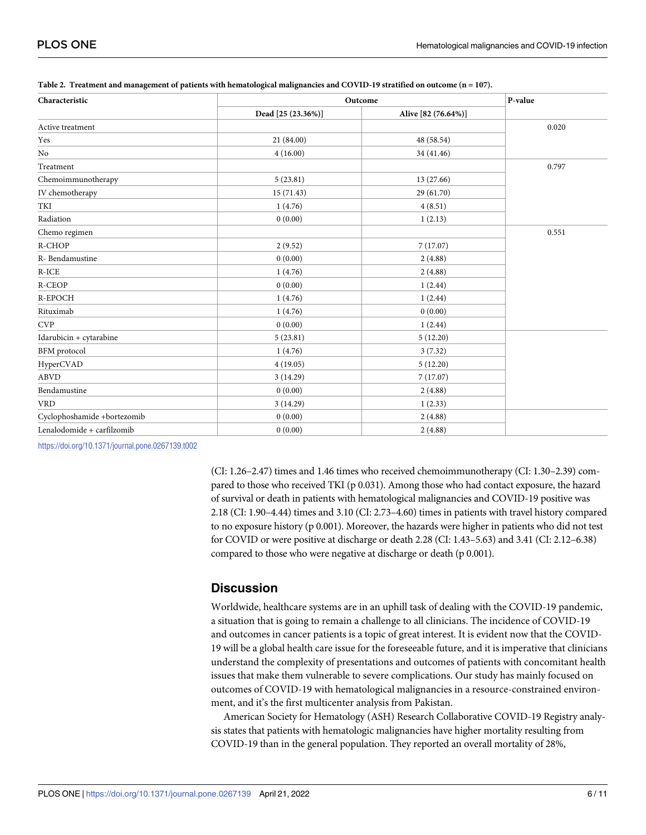| Characteristic              | Outcome            | P-value             |       |
|-----------------------------|--------------------|---------------------|-------|
|                             | Dead [25 (23.36%)] | Alive [82 (76.64%)] |       |
| Active treatment            |                    |                     | 0.020 |
| Yes                         | 21 (84.00)         | 48 (58.54)          |       |
| No                          | 4(16.00)           | 34 (41.46)          |       |
| Treatment                   |                    |                     | 0.797 |
| Chemoimmunotherapy          | 5(23.81)           | 13 (27.66)          |       |
| IV chemotherapy             | 15(71.43)          | 29 (61.70)          |       |
| TKI                         | 1(4.76)            | 4(8.51)             |       |
| Radiation                   | 0(0.00)            | 1(2.13)             |       |
| Chemo regimen               |                    |                     | 0.551 |
| R-CHOP                      | 2(9.52)            | 7(17.07)            |       |
| R- Bendamustine             | 0(0.00)            | 2(4.88)             |       |
| $R$ -ICE                    | 1(4.76)            | 2(4.88)             |       |
| R-CEOP                      | 0(0.00)            | 1(2.44)             |       |
| R-EPOCH                     | 1(4.76)            | 1(2.44)             |       |
| Rituximab                   | 1(4.76)            | 0(0.00)             |       |
| <b>CVP</b>                  | 0(0.00)            | 1(2.44)             |       |
| Idarubicin + cytarabine     | 5(23.81)           | 5(12.20)            |       |
| <b>BFM</b> protocol         | 1(4.76)            | 3(7.32)             |       |
| HyperCVAD                   | 4(19.05)           | 5(12.20)            |       |
| <b>ABVD</b>                 | 3(14.29)           | 7(17.07)            |       |
| Bendamustine                | 0(0.00)            | 2(4.88)             |       |
| <b>VRD</b>                  | 3(14.29)           | 1(2.33)             |       |
| Cyclophoshamide +bortezomib | 0(0.00)            | 2(4.88)             |       |
| Lenalodomide + carfilzomib  | 0(0.00)            | 2(4.88)             |       |

<span id="page-7-0"></span>[Table](#page-5-0) 2. Treatment and management of patients with hematological malignancies and COVID-19 stratified on outcome (n = 107).

<https://doi.org/10.1371/journal.pone.0267139.t002>

(CI: 1.26–2.47) times and 1.46 times who received chemoimmunotherapy (CI: 1.30–2.39) compared to those who received TKI (p 0.031). Among those who had contact exposure, the hazard of survival or death in patients with hematological malignancies and COVID-19 positive was 2.18 (CI: 1.90–4.44) times and 3.10 (CI: 2.73–4.60) times in patients with travel history compared to no exposure history (p 0.001). Moreover, the hazards were higher in patients who did not test for COVID or were positive at discharge or death 2.28 (CI: 1.43–5.63) and 3.41 (CI: 2.12–6.38) compared to those who were negative at discharge or death (p 0.001).

### **Discussion**

Worldwide, healthcare systems are in an uphill task of dealing with the COVID-19 pandemic, a situation that is going to remain a challenge to all clinicians. The incidence of COVID-19 and outcomes in cancer patients is a topic of great interest. It is evident now that the COVID-19 will be a global health care issue for the foreseeable future, and it is imperative that clinicians understand the complexity of presentations and outcomes of patients with concomitant health issues that make them vulnerable to severe complications. Our study has mainly focused on outcomes of COVID-19 with hematological malignancies in a resource-constrained environment, and it's the first multicenter analysis from Pakistan.

American Society for Hematology (ASH) Research Collaborative COVID-19 Registry analysis states that patients with hematologic malignancies have higher mortality resulting from COVID-19 than in the general population. They reported an overall mortality of 28%,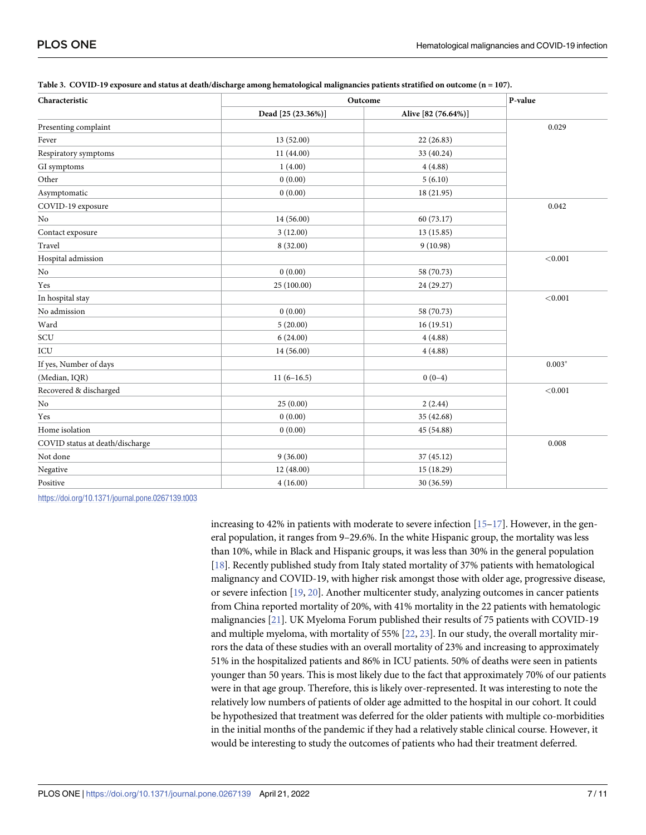| Characteristic                  | Outcome            | P-value             |          |
|---------------------------------|--------------------|---------------------|----------|
|                                 | Dead [25 (23.36%)] | Alive [82 (76.64%)] |          |
| Presenting complaint            |                    |                     | 0.029    |
| Fever                           | 13 (52.00)         | 22 (26.83)          |          |
| Respiratory symptoms            | 11 (44.00)         | 33 (40.24)          |          |
| GI symptoms                     | 1(4.00)            | 4(4.88)             |          |
| Other                           | 0(0.00)            | 5(6.10)             |          |
| Asymptomatic                    | 0(0.00)            | 18 (21.95)          |          |
| COVID-19 exposure               |                    |                     | 0.042    |
| No                              | 14 (56.00)         | 60 (73.17)          |          |
| Contact exposure                | 3(12.00)           | 13 (15.85)          |          |
| Travel                          | 8 (32.00)          | 9(10.98)            |          |
| Hospital admission              |                    |                     | < 0.001  |
| No                              | 0(0.00)            | 58 (70.73)          |          |
| Yes                             | 25 (100.00)        | 24 (29.27)          |          |
| In hospital stay                |                    |                     | < 0.001  |
| No admission                    | 0(0.00)            | 58 (70.73)          |          |
| Ward                            | 5(20.00)           | 16(19.51)           |          |
| SCU                             | 6(24.00)           | 4(4.88)             |          |
| ICU                             | 14 (56.00)         | 4(4.88)             |          |
| If yes, Number of days          |                    |                     | $0.003*$ |
| (Median, IQR)                   | $11(6-16.5)$       | $0(0-4)$            |          |
| Recovered & discharged          |                    |                     | < 0.001  |
| No                              | 25(0.00)           | 2(2.44)             |          |
| Yes                             | 0(0.00)            | 35 (42.68)          |          |
| Home isolation                  | 0(0.00)            | 45 (54.88)          |          |
| COVID status at death/discharge |                    |                     | 0.008    |
| Not done                        | 9(36.00)           | 37 (45.12)          |          |
| Negative                        | 12 (48.00)         | 15 (18.29)          |          |
| Positive                        | 4(16.00)           | 30 (36.59)          |          |

<span id="page-8-0"></span>

| Table 3. COVID-19 exposure and status at death/discharge among hematological malignancies patients stratified on outcome (n = 107). |  |  |  |
|-------------------------------------------------------------------------------------------------------------------------------------|--|--|--|
|                                                                                                                                     |  |  |  |

<https://doi.org/10.1371/journal.pone.0267139.t003>

increasing to 42% in patients with moderate to severe infection  $[15-17]$ . However, in the general population, it ranges from 9–29.6%. In the white Hispanic group, the mortality was less than 10%, while in Black and Hispanic groups, it was less than 30% in the general population [\[18\]](#page-12-0). Recently published study from Italy stated mortality of 37% patients with hematological malignancy and COVID-19, with higher risk amongst those with older age, progressive disease, or severe infection [\[19](#page-12-0), [20](#page-12-0)]. Another multicenter study, analyzing outcomes in cancer patients from China reported mortality of 20%, with 41% mortality in the 22 patients with hematologic malignancies [\[21\]](#page-12-0). UK Myeloma Forum published their results of 75 patients with COVID-19 and multiple myeloma, with mortality of 55% [\[22,](#page-12-0) [23](#page-12-0)]. In our study, the overall mortality mirrors the data of these studies with an overall mortality of 23% and increasing to approximately 51% in the hospitalized patients and 86% in ICU patients. 50% of deaths were seen in patients younger than 50 years. This is most likely due to the fact that approximately 70% of our patients were in that age group. Therefore, this is likely over-represented. It was interesting to note the relatively low numbers of patients of older age admitted to the hospital in our cohort. It could be hypothesized that treatment was deferred for the older patients with multiple co-morbidities in the initial months of the pandemic if they had a relatively stable clinical course. However, it would be interesting to study the outcomes of patients who had their treatment deferred.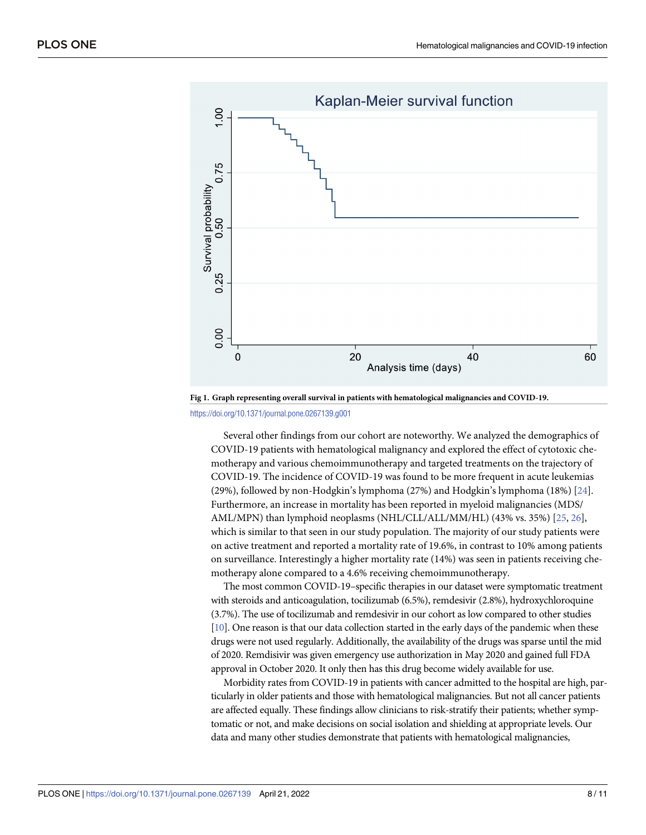<span id="page-9-0"></span>

**[Fig](#page-6-0) 1. Graph representing overall survival in patients with hematological malignancies and COVID-19.**

<https://doi.org/10.1371/journal.pone.0267139.g001>

Several other findings from our cohort are noteworthy. We analyzed the demographics of COVID-19 patients with hematological malignancy and explored the effect of cytotoxic chemotherapy and various chemoimmunotherapy and targeted treatments on the trajectory of COVID-19. The incidence of COVID-19 was found to be more frequent in acute leukemias (29%), followed by non-Hodgkin's lymphoma (27%) and Hodgkin's lymphoma (18%) [\[24\]](#page-12-0). Furthermore, an increase in mortality has been reported in myeloid malignancies (MDS/ AML/MPN) than lymphoid neoplasms (NHL/CLL/ALL/MM/HL) (43% vs. 35%) [\[25,](#page-12-0) [26\]](#page-12-0), which is similar to that seen in our study population. The majority of our study patients were on active treatment and reported a mortality rate of 19.6%, in contrast to 10% among patients on surveillance. Interestingly a higher mortality rate (14%) was seen in patients receiving chemotherapy alone compared to a 4.6% receiving chemoimmunotherapy.

The most common COVID-19–specific therapies in our dataset were symptomatic treatment with steroids and anticoagulation, tocilizumab (6.5%), remdesivir (2.8%), hydroxychloroquine (3.7%). The use of tocilizumab and remdesivir in our cohort as low compared to other studies [\[10](#page-12-0)]. One reason is that our data collection started in the early days of the pandemic when these drugs were not used regularly. Additionally, the availability of the drugs was sparse until the mid of 2020. Remdisivir was given emergency use authorization in May 2020 and gained full FDA approval in October 2020. It only then has this drug become widely available for use.

Morbidity rates from COVID-19 in patients with cancer admitted to the hospital are high, particularly in older patients and those with hematological malignancies. But not all cancer patients are affected equally. These findings allow clinicians to risk-stratify their patients; whether symptomatic or not, and make decisions on social isolation and shielding at appropriate levels. Our data and many other studies demonstrate that patients with hematological malignancies,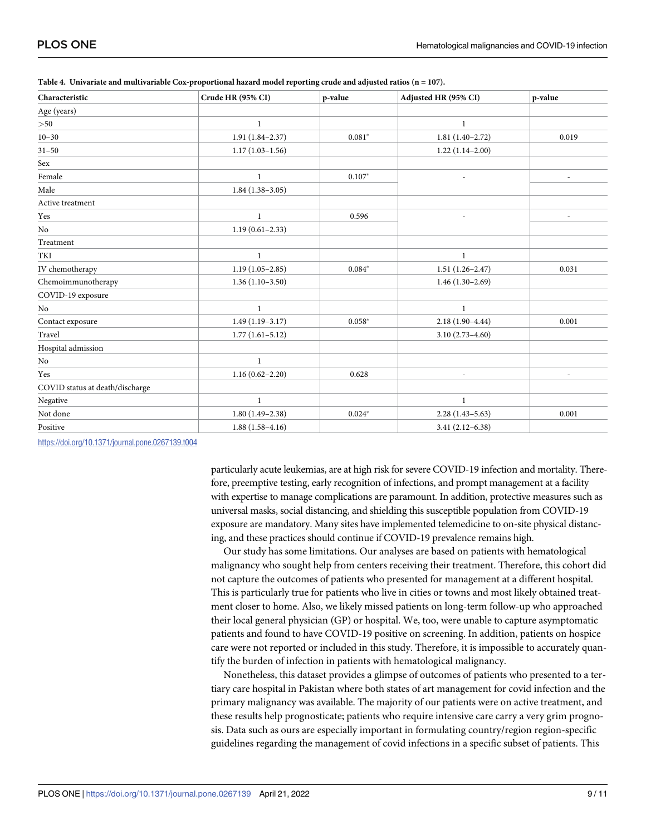| Characteristic                  | Crude HR (95% CI)   | p-value  | Adjusted HR (95% CI)     | p-value                  |
|---------------------------------|---------------------|----------|--------------------------|--------------------------|
| Age (years)                     |                     |          |                          |                          |
| >50                             | 1                   |          | $\mathbf{1}$             |                          |
| $10 - 30$                       | $1.91(1.84 - 2.37)$ | $0.081*$ | $1.81(1.40-2.72)$        | 0.019                    |
| $31 - 50$                       | $1.17(1.03 - 1.56)$ |          | $1.22(1.14-2.00)$        |                          |
| Sex                             |                     |          |                          |                          |
| Female                          | $\mathbf{1}$        | $0.107*$ | ÷,                       | $\overline{\phantom{a}}$ |
| Male                            | $1.84(1.38-3.05)$   |          |                          |                          |
| Active treatment                |                     |          |                          |                          |
| Yes                             | $\mathbf{1}$        | 0.596    |                          | $\overline{\phantom{a}}$ |
| No                              | $1.19(0.61 - 2.33)$ |          |                          |                          |
| Treatment                       |                     |          |                          |                          |
| TKI                             | $\mathbf{1}$        |          | $\bf{1}$                 |                          |
| IV chemotherapy                 | $1.19(1.05 - 2.85)$ | $0.084*$ | $1.51(1.26 - 2.47)$      | 0.031                    |
| Chemoimmunotherapy              | $1.36(1.10-3.50)$   |          | $1.46(1.30-2.69)$        |                          |
| COVID-19 exposure               |                     |          |                          |                          |
| No                              | 1                   |          | $\mathbf{1}$             |                          |
| Contact exposure                | $1.49(1.19-3.17)$   | $0.058*$ | $2.18(1.90-4.44)$        | 0.001                    |
| Travel                          | $1.77(1.61 - 5.12)$ |          | $3.10(2.73 - 4.60)$      |                          |
| Hospital admission              |                     |          |                          |                          |
| No                              | $\mathbf{1}$        |          |                          |                          |
| Yes                             | $1.16(0.62 - 2.20)$ | 0.628    | $\overline{\phantom{a}}$ |                          |
| COVID status at death/discharge |                     |          |                          |                          |
| Negative                        | $\mathbf{1}$        |          | $\mathbf{1}$             |                          |
| Not done                        | $1.80(1.49-2.38)$   | $0.024*$ | $2.28(1.43 - 5.63)$      | 0.001                    |
| Positive                        | $1.88(1.58-4.16)$   |          | $3.41(2.12-6.38)$        |                          |

<span id="page-10-0"></span>

| Table 4. Univariate and multivariable Cox-proportional hazard model reporting crude and adjusted ratios $(n = 107)$ . |  |  |  |  |  |  |  |  |  |  |
|-----------------------------------------------------------------------------------------------------------------------|--|--|--|--|--|--|--|--|--|--|
|-----------------------------------------------------------------------------------------------------------------------|--|--|--|--|--|--|--|--|--|--|

<https://doi.org/10.1371/journal.pone.0267139.t004>

particularly acute leukemias, are at high risk for severe COVID-19 infection and mortality. Therefore, preemptive testing, early recognition of infections, and prompt management at a facility with expertise to manage complications are paramount. In addition, protective measures such as universal masks, social distancing, and shielding this susceptible population from COVID-19 exposure are mandatory. Many sites have implemented telemedicine to on-site physical distancing, and these practices should continue if COVID-19 prevalence remains high.

Our study has some limitations. Our analyses are based on patients with hematological malignancy who sought help from centers receiving their treatment. Therefore, this cohort did not capture the outcomes of patients who presented for management at a different hospital. This is particularly true for patients who live in cities or towns and most likely obtained treatment closer to home. Also, we likely missed patients on long-term follow-up who approached their local general physician (GP) or hospital. We, too, were unable to capture asymptomatic patients and found to have COVID-19 positive on screening. In addition, patients on hospice care were not reported or included in this study. Therefore, it is impossible to accurately quantify the burden of infection in patients with hematological malignancy.

Nonetheless, this dataset provides a glimpse of outcomes of patients who presented to a tertiary care hospital in Pakistan where both states of art management for covid infection and the primary malignancy was available. The majority of our patients were on active treatment, and these results help prognosticate; patients who require intensive care carry a very grim prognosis. Data such as ours are especially important in formulating country/region region-specific guidelines regarding the management of covid infections in a specific subset of patients. This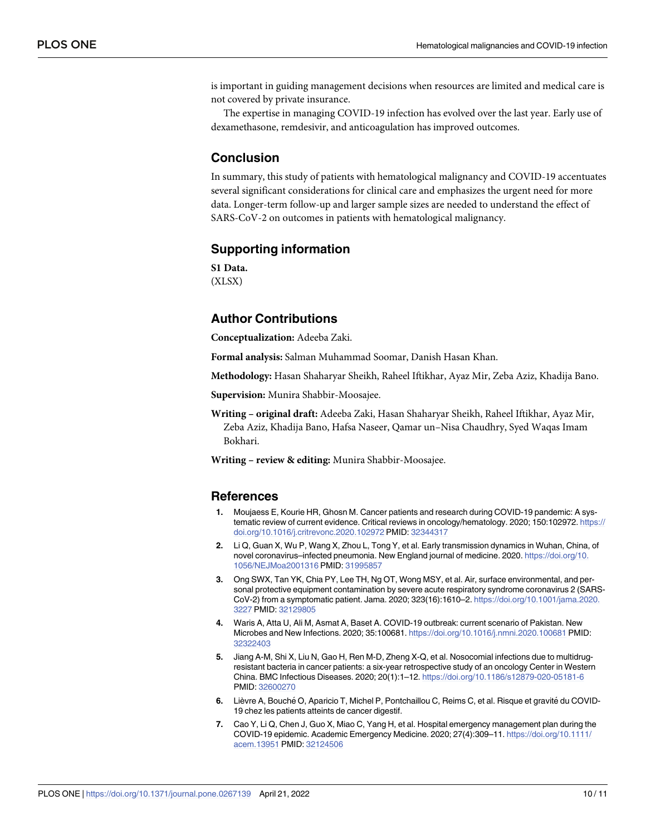<span id="page-11-0"></span>is important in guiding management decisions when resources are limited and medical care is not covered by private insurance.

The expertise in managing COVID-19 infection has evolved over the last year. Early use of dexamethasone, remdesivir, and anticoagulation has improved outcomes.

#### **Conclusion**

In summary, this study of patients with hematological malignancy and COVID-19 accentuates several significant considerations for clinical care and emphasizes the urgent need for more data. Longer-term follow-up and larger sample sizes are needed to understand the effect of SARS-CoV-2 on outcomes in patients with hematological malignancy.

#### **Supporting information**

**S1 [Data](http://www.plosone.org/article/fetchSingleRepresentation.action?uri=info:doi/10.1371/journal.pone.0267139.s001).** (XLSX)

# **Author Contributions**

**Conceptualization:** Adeeba Zaki.

**Formal analysis:** Salman Muhammad Soomar, Danish Hasan Khan.

**Methodology:** Hasan Shaharyar Sheikh, Raheel Iftikhar, Ayaz Mir, Zeba Aziz, Khadija Bano.

**Supervision:** Munira Shabbir-Moosajee.

**Writing – original draft:** Adeeba Zaki, Hasan Shaharyar Sheikh, Raheel Iftikhar, Ayaz Mir, Zeba Aziz, Khadija Bano, Hafsa Naseer, Qamar un–Nisa Chaudhry, Syed Waqas Imam Bokhari.

**Writing – review & editing:** Munira Shabbir-Moosajee.

#### **References**

- **[1](#page-3-0).** Moujaess E, Kourie HR, Ghosn M. Cancer patients and research during COVID-19 pandemic: A systematic review of current evidence. Critical reviews in oncology/hematology. 2020; 150:102972. [https://](https://doi.org/10.1016/j.critrevonc.2020.102972) [doi.org/10.1016/j.critrevonc.2020.102972](https://doi.org/10.1016/j.critrevonc.2020.102972) PMID: [32344317](http://www.ncbi.nlm.nih.gov/pubmed/32344317)
- **[2](#page-3-0).** Li Q, Guan X, Wu P, Wang X, Zhou L, Tong Y, et al. Early transmission dynamics in Wuhan, China, of novel coronavirus–infected pneumonia. New England journal of medicine. 2020. [https://doi.org/10.](https://doi.org/10.1056/NEJMoa2001316) [1056/NEJMoa2001316](https://doi.org/10.1056/NEJMoa2001316) PMID: [31995857](http://www.ncbi.nlm.nih.gov/pubmed/31995857)
- **[3](#page-3-0).** Ong SWX, Tan YK, Chia PY, Lee TH, Ng OT, Wong MSY, et al. Air, surface environmental, and personal protective equipment contamination by severe acute respiratory syndrome coronavirus 2 (SARS-CoV-2) from a symptomatic patient. Jama. 2020; 323(16):1610–2. [https://doi.org/10.1001/jama.2020.](https://doi.org/10.1001/jama.2020.3227) [3227](https://doi.org/10.1001/jama.2020.3227) PMID: [32129805](http://www.ncbi.nlm.nih.gov/pubmed/32129805)
- **[4](#page-3-0).** Waris A, Atta U, Ali M, Asmat A, Baset A. COVID-19 outbreak: current scenario of Pakistan. New Microbes and New Infections. 2020; 35:100681. <https://doi.org/10.1016/j.nmni.2020.100681> PMID: [32322403](http://www.ncbi.nlm.nih.gov/pubmed/32322403)
- **[5](#page-3-0).** Jiang A-M, Shi X, Liu N, Gao H, Ren M-D, Zheng X-Q, et al. Nosocomial infections due to multidrugresistant bacteria in cancer patients: a six-year retrospective study of an oncology Center in Western China. BMC Infectious Diseases. 2020; 20(1):1–12. <https://doi.org/10.1186/s12879-020-05181-6> PMID: [32600270](http://www.ncbi.nlm.nih.gov/pubmed/32600270)
- **[6](#page-3-0).** Lièvre A, Bouché O, Aparicio T, Michel P, Pontchaillou C, Reims C, et al. Risque et gravité du COVID-19 chez les patients atteints de cancer digestif.
- **[7](#page-3-0).** Cao Y, Li Q, Chen J, Guo X, Miao C, Yang H, et al. Hospital emergency management plan during the COVID-19 epidemic. Academic Emergency Medicine. 2020; 27(4):309–11. [https://doi.org/10.1111/](https://doi.org/10.1111/acem.13951) [acem.13951](https://doi.org/10.1111/acem.13951) PMID: [32124506](http://www.ncbi.nlm.nih.gov/pubmed/32124506)